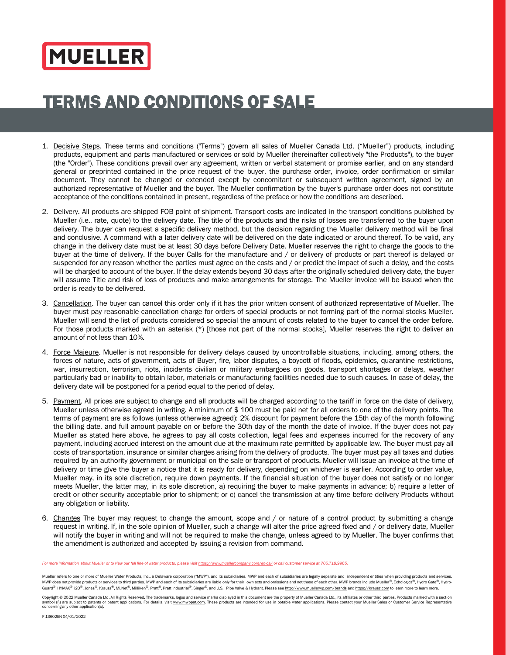## **MUELLER**

## TERMS AND CONDITIONS OF SALE

- 1. Decisive Steps. These terms and conditions ("Terms") govern all sales of Mueller Canada Ltd. ("Mueller") products, including products, equipment and parts manufactured or services or sold by Mueller (hereinafter collectively "the Products"), to the buyer (the "Order"). These conditions prevail over any agreement, written or verbal statement or promise earlier, and on any standard general or preprinted contained in the price request of the buyer, the purchase order, invoice, order confirmation or similar document. They cannot be changed or extended except by concomitant or subsequent written agreement, signed by an authorized representative of Mueller and the buyer. The Mueller confirmation by the buyer's purchase order does not constitute acceptance of the conditions contained in present, regardless of the preface or how the conditions are described.
- 2. Delivery. All products are shipped FOB point of shipment. Transport costs are indicated in the transport conditions published by Mueller (i.e., rate, quote) to the delivery date. The title of the products and the risks of losses are transferred to the buyer upon delivery. The buyer can request a specific delivery method, but the decision regarding the Mueller delivery method will be final and conclusive. A command with a later delivery date will be delivered on the date indicated or around thereof. To be valid, any change in the delivery date must be at least 30 days before Delivery Date. Mueller reserves the right to charge the goods to the buyer at the time of delivery. If the buyer Calls for the manufacture and / or delivery of products or part thereof is delayed or suspended for any reason whether the parties must agree on the costs and / or predict the impact of such a delay, and the costs will be charged to account of the buyer. If the delay extends beyond 30 days after the originally scheduled delivery date, the buyer will assume Title and risk of loss of products and make arrangements for storage. The Mueller invoice will be issued when the order is ready to be delivered.
- 3. Cancellation. The buyer can cancel this order only if it has the prior written consent of authorized representative of Mueller. The buyer must pay reasonable cancellation charge for orders of special products or not forming part of the normal stocks Mueller. Mueller will send the list of products considered so special the amount of costs related to the buyer to cancel the order before. For those products marked with an asterisk (\*) [those not part of the normal stocks], Mueller reserves the right to deliver an amount of not less than 10%.
- 4. Force Majeure. Mueller is not responsible for delivery delays caused by uncontrollable situations, including, among others, the forces of nature, acts of government, acts of Buyer, fire, labor disputes, a boycott of floods, epidemics, quarantine restrictions, war, insurrection, terrorism, riots, incidents civilian or military embargoes on goods, transport shortages or delays, weather particularly bad or inability to obtain labor, materials or manufacturing facilities needed due to such causes. In case of delay, the delivery date will be postponed for a period equal to the period of delay.
- 5. Payment. All prices are subject to change and all products will be charged according to the tariff in force on the date of delivery, Mueller unless otherwise agreed in writing. A minimum of \$ 100 must be paid net for all orders to one of the delivery points. The terms of payment are as follows (unless otherwise agreed): 2% discount for payment before the 15th day of the month following the billing date, and full amount payable on or before the 30th day of the month the date of invoice. If the buyer does not pay Mueller as stated here above, he agrees to pay all costs collection, legal fees and expenses incurred for the recovery of any payment, including accrued interest on the amount due at the maximum rate permitted by applicable law. The buyer must pay all costs of transportation, insurance or similar charges arising from the delivery of products. The buyer must pay all taxes and duties required by an authority government or municipal on the sale or transport of products. Mueller will issue an invoice at the time of delivery or time give the buyer a notice that it is ready for delivery, depending on whichever is earlier. According to order value, Mueller may, in its sole discretion, require down payments. If the financial situation of the buyer does not satisfy or no longer meets Mueller, the latter may, in its sole discretion, a) requiring the buyer to make payments in advance; b) require a letter of credit or other security acceptable prior to shipment; or c) cancel the transmission at any time before delivery Products without any obligation or liability.
- 6. Changes The buyer may request to change the amount, scope and / or nature of a control product by submitting a change request in writing. If, in the sole opinion of Mueller, such a change will alter the price agreed fixed and / or delivery date, Mueller will notify the buyer in writing and will not be required to make the change, unless agreed to by Mueller. The buyer confirms that the amendment is authorized and accepted by issuing a revision from command.

For more information about Mueller or to view our full line of water products, please visit <https://www.muellercompany.com/en-ca/> or call customer service at 705.719.9965.

Mueller refers to one or more of Mueller Water Products, Inc., a Delaware corporation ("MWP"), and its subsidiaries. MWP and each of subsidiaries are legally separate and independent entities when providing products and se MWP does not provide products or services to third parties. MWP and each of its subsidiaries are liable only for their own acts and omissions and not those of each other. MWP brands include Mueller®, Echologics®, Hydro Gat

Copyright © 2022 Mueller Canada Ltd. All Rights Reserved. The trademarks, logos and service marks displayed in this document are the property of Mueller Canada Ltd., its affiliates or other third parties. Products marked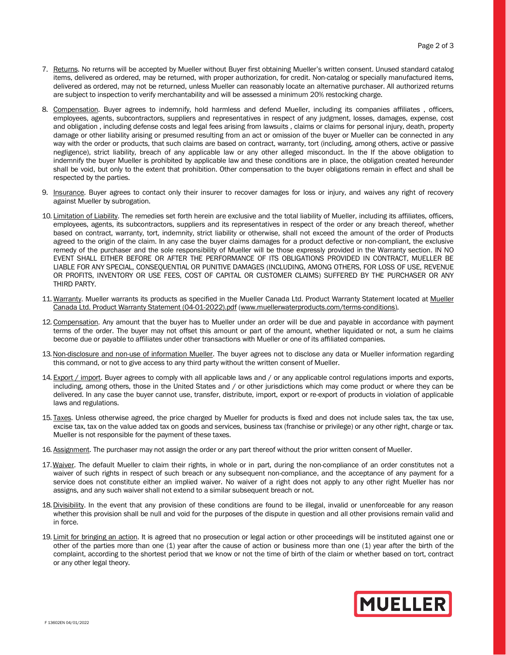- 7. Returns. No returns will be accepted by Mueller without Buyer first obtaining Mueller's written consent. Unused standard catalog items, delivered as ordered, may be returned, with proper authorization, for credit. Non-catalog or specially manufactured items, delivered as ordered, may not be returned, unless Mueller can reasonably locate an alternative purchaser. All authorized returns are subject to inspection to verify merchantability and will be assessed a minimum 20% restocking charge.
- 8. Compensation. Buyer agrees to indemnify, hold harmless and defend Mueller, including its companies affiliates , officers, employees, agents, subcontractors, suppliers and representatives in respect of any judgment, losses, damages, expense, cost and obligation , including defense costs and legal fees arising from lawsuits , claims or claims for personal injury, death, property damage or other liability arising or presumed resulting from an act or omission of the buyer or Mueller can be connected in any way with the order or products, that such claims are based on contract, warranty, tort (including, among others, active or passive negligence), strict liability, breach of any applicable law or any other alleged misconduct. In the If the above obligation to indemnify the buyer Mueller is prohibited by applicable law and these conditions are in place, the obligation created hereunder shall be void, but only to the extent that prohibition. Other compensation to the buyer obligations remain in effect and shall be respected by the parties.
- 9. Insurance. Buyer agrees to contact only their insurer to recover damages for loss or injury, and waives any right of recovery against Mueller by subrogation.
- 10. Limitation of Liability. The remedies set forth herein are exclusive and the total liability of Mueller, including its affiliates, officers, employees, agents, its subcontractors, suppliers and its representatives in respect of the order or any breach thereof, whether based on contract, warranty, tort, indemnity, strict liability or otherwise, shall not exceed the amount of the order of Products agreed to the origin of the claim. In any case the buyer claims damages for a product defective or non-compliant, the exclusive remedy of the purchaser and the sole responsibility of Mueller will be those expressly provided in the Warranty section. IN NO EVENT SHALL EITHER BEFORE OR AFTER THE PERFORMANCE OF ITS OBLIGATIONS PROVIDED IN CONTRACT, MUELLER BE LIABLE FOR ANY SPECIAL, CONSEQUENTIAL OR PUNITIVE DAMAGES (INCLUDING, AMONG OTHERS, FOR LOSS OF USE, REVENUE OR PROFITS, INVENTORY OR USE FEES, COST OF CAPITAL OR CUSTOMER CLAIMS) SUFFERED BY THE PURCHASER OR ANY THIRD PARTY.
- 11. Warranty. Mueller warrants its products as specified in the Mueller Canada Ltd. Product Warranty Statement located at [Mueller](https://www.muellerwaterproducts.com/sites/default/files/Mueller%20Canada%20Ltd.%20Product%20Warranty%20Statement%20%2804-01-2022%29.pdf)  [Canada Ltd. Product Warranty Statement \(04-01-2022\).pdf](https://www.muellerwaterproducts.com/sites/default/files/Mueller%20Canada%20Ltd.%20Product%20Warranty%20Statement%20%2804-01-2022%29.pdf) [\(www.muellerwaterproducts.com/terms-conditions\)](https://www.muellerwaterproducts.com/terms-conditions).
- 12. Compensation. Any amount that the buyer has to Mueller under an order will be due and payable in accordance with payment terms of the order. The buyer may not offset this amount or part of the amount, whether liquidated or not, a sum he claims become due or payable to affiliates under other transactions with Mueller or one of its affiliated companies.
- 13. Non-disclosure and non-use of information Mueller. The buyer agrees not to disclose any data or Mueller information regarding this command, or not to give access to any third party without the written consent of Mueller.
- 14. Export / import. Buyer agrees to comply with all applicable laws and / or any applicable control regulations imports and exports, including, among others, those in the United States and / or other jurisdictions which may come product or where they can be delivered. In any case the buyer cannot use, transfer, distribute, import, export or re-export of products in violation of applicable laws and regulations.
- 15. Taxes. Unless otherwise agreed, the price charged by Mueller for products is fixed and does not include sales tax, the tax use, excise tax, tax on the value added tax on goods and services, business tax (franchise or privilege) or any other right, charge or tax. Mueller is not responsible for the payment of these taxes.
- 16. Assignment. The purchaser may not assign the order or any part thereof without the prior written consent of Mueller.
- 17. Waiver. The default Mueller to claim their rights, in whole or in part, during the non-compliance of an order constitutes not a waiver of such rights in respect of such breach or any subsequent non-compliance, and the acceptance of any payment for a service does not constitute either an implied waiver. No waiver of a right does not apply to any other right Mueller has nor assigns, and any such waiver shall not extend to a similar subsequent breach or not.
- 18. Divisibility. In the event that any provision of these conditions are found to be illegal, invalid or unenforceable for any reason whether this provision shall be null and void for the purposes of the dispute in question and all other provisions remain valid and in force.
- 19. Limit for bringing an action. It is agreed that no prosecution or legal action or other proceedings will be instituted against one or other of the parties more than one (1) year after the cause of action or business more than one (1) year after the birth of the complaint, according to the shortest period that we know or not the time of birth of the claim or whether based on tort, contract or any other legal theory.